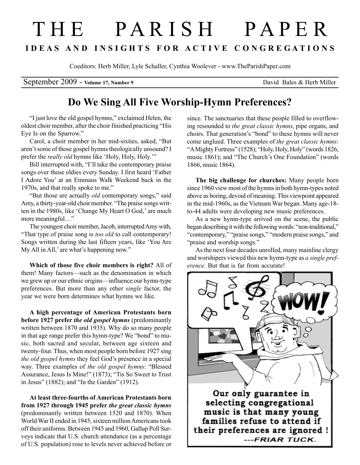## T H E P A R I S H P A P E R I D E A S A N D I N S I G H T S F O R A C T I V E C O N G R E G A T I O N S

Coeditors: Herb Miller, Lyle Schaller, Cynthia Woolever - www.TheParishPaper.com

September 2009 - Volume 17, Number 9 David Bales & Herb Miller

## Do We Sing All Five Worship-Hymn Preferences?

"I just love the old gospel hymns," exclaimed Helen, the oldest choir member, after the choir finished practicing "His Eye Is on the Sparrow."

Carol, a choir member in her mid-sixties, asked, "But aren't some of those gospel hymns theologically unsound? I prefer the *really old* hymns like 'Holy, Holy, Holy.'"

Bill interrupted with, "I'll take the contemporary praise songs over those oldies every Sunday. I first heard 'Father I Adore You' at an Emmaus Walk Weekend back in the 1970s, and that really spoke to me."

"But those are actually old contemporary songs," said Amy, a thirty-year-old choir member. "The praise songs written in the 1980s, like 'Change My Heart O God,' are much more meaningful…"

The youngest choir member, Jacob, interrupted Amy with, "That type of praise song is too old to call contemporary! Songs written during the last fifteen years, like 'You Are My All in All,' are what's happening now."

Which of those five choir members is right? All of them! Many factors—such as the denomination in which we grew up or our ethnic origins—influence our hymn-type preferences. But more than any other single factor, the year we were born determines what hymns we like.

A high percentage of American Protestants born before 1927 prefer the old gospel hymns (predominantly written between 1870 and 1935). Why do so many people in that age range prefer this hymn-type? We "bond" to music, both sacred and secular, between age sixteen and twenty-four. Thus, when most people born before 1927 sing the old gospel hymns they feel God's presence in a special way. Three examples of the old gospel hymns: "Blessed Assurance, Jesus Is Mine!" (1873); "Tis So Sweet to Trust in Jesus" (1882); and "In the Garden" (1912).

At least three-fourths of American Protestants born from 1927 through 1945 prefer the great classic hymns (predominantly written between 1520 and 1870). When World War II ended in 1945, sixteen million Americans took off their uniforms. Between 1945 and 1960, Gallup Poll Surveys indicate that U.S. church attendance (as a percentage of U.S. population) rose to levels never achieved before or since. The sanctuaries that these people filled to overflowing resounded to the great classic hymns, pipe organs, and choirs. That generation's "bond" to these hymns will never come unglued. Three examples of the great classic hymns: "A Mighty Fortress" (1528); "Holy, Holy, Holy" (words 1826, music 1861); and "The Church's One Foundation" (words 1866, music 1864).

The big challenge for churches: Many people born since 1960 view most of the hymns in both hymn-types noted above as boring, devoid of meaning. This viewpoint appeared in the mid-1960s, as the Vietnam War began. Many age-18 to-44 adults were developing new music preferences.

As a new hymn-type arrived on the scene, the public began describing it with the following words: "non-traditional," "contemporary," "praise songs," "modern praise songs," and "praise and worship songs."

As the next four decades unrolled, many mainline clergy and worshipers viewed this new hymn-type as a single preference. But that is far from accurate!